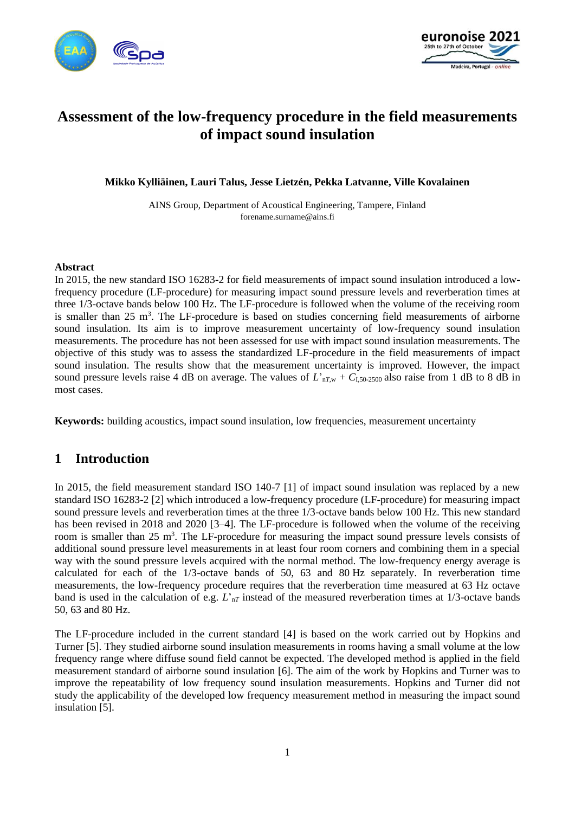



# **Assessment of the low-frequency procedure in the field measurements of impact sound insulation**

**Mikko Kylliäinen, Lauri Talus, Jesse Lietzén, Pekka Latvanne, Ville Kovalainen**

AINS Group, Department of Acoustical Engineering, Tampere, Finland forename.surname@ains.fi

#### **Abstract**

In 2015, the new standard ISO 16283-2 for field measurements of impact sound insulation introduced a lowfrequency procedure (LF-procedure) for measuring impact sound pressure levels and reverberation times at three 1/3-octave bands below 100 Hz. The LF-procedure is followed when the volume of the receiving room is smaller than  $25 \text{ m}^3$ . The LF-procedure is based on studies concerning field measurements of airborne sound insulation. Its aim is to improve measurement uncertainty of low-frequency sound insulation measurements. The procedure has not been assessed for use with impact sound insulation measurements. The objective of this study was to assess the standardized LF-procedure in the field measurements of impact sound insulation. The results show that the measurement uncertainty is improved. However, the impact sound pressure levels raise 4 dB on average. The values of  $L_{nTw}$  +  $C_{1.50-2500}$  also raise from 1 dB to 8 dB in most cases.

**Keywords:** building acoustics, impact sound insulation, low frequencies, measurement uncertainty

### **1 Introduction**

In 2015, the field measurement standard ISO 140-7 [1] of impact sound insulation was replaced by a new standard ISO 16283-2 [2] which introduced a low-frequency procedure (LF-procedure) for measuring impact sound pressure levels and reverberation times at the three 1/3-octave bands below 100 Hz. This new standard has been revised in 2018 and 2020 [3–4]. The LF-procedure is followed when the volume of the receiving room is smaller than 25 m<sup>3</sup>. The LF-procedure for measuring the impact sound pressure levels consists of additional sound pressure level measurements in at least four room corners and combining them in a special way with the sound pressure levels acquired with the normal method. The low-frequency energy average is calculated for each of the 1/3-octave bands of 50, 63 and 80 Hz separately. In reverberation time measurements, the low-frequency procedure requires that the reverberation time measured at 63 Hz octave band is used in the calculation of e.g.  $L_{nT}$  instead of the measured reverberation times at 1/3-octave bands 50, 63 and 80 Hz.

The LF-procedure included in the current standard [4] is based on the work carried out by Hopkins and Turner [5]. They studied airborne sound insulation measurements in rooms having a small volume at the low frequency range where diffuse sound field cannot be expected. The developed method is applied in the field measurement standard of airborne sound insulation [6]. The aim of the work by Hopkins and Turner was to improve the repeatability of low frequency sound insulation measurements. Hopkins and Turner did not study the applicability of the developed low frequency measurement method in measuring the impact sound insulation [5].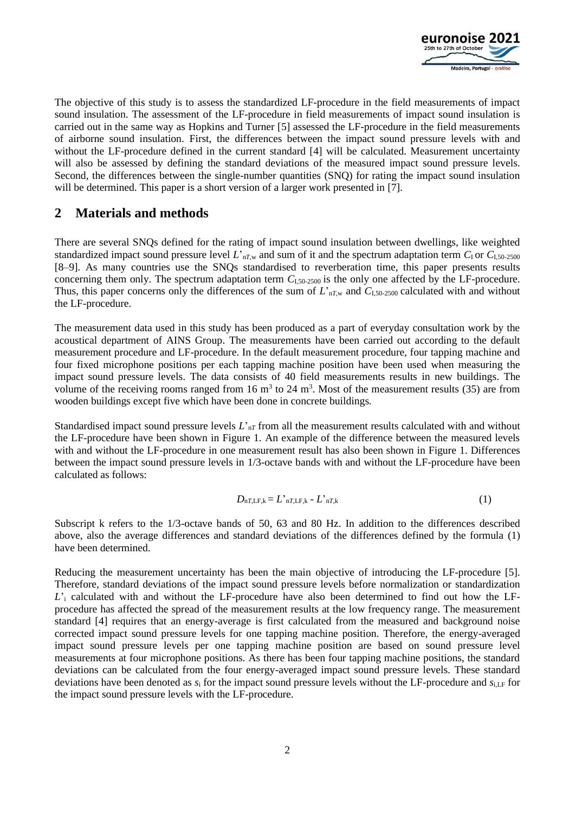

The objective of this study is to assess the standardized LF-procedure in the field measurements of impact sound insulation. The assessment of the LF-procedure in field measurements of impact sound insulation is carried out in the same way as Hopkins and Turner [5] assessed the LF-procedure in the field measurements of airborne sound insulation. First, the differences between the impact sound pressure levels with and without the LF-procedure defined in the current standard [4] will be calculated. Measurement uncertainty will also be assessed by defining the standard deviations of the measured impact sound pressure levels. Second, the differences between the single-number quantities (SNQ) for rating the impact sound insulation will be determined. This paper is a short version of a larger work presented in [7].

# **2 Materials and methods**

There are several SNQs defined for the rating of impact sound insulation between dwellings, like weighted standardized impact sound pressure level  $L'_{nT,w}$  and sum of it and the spectrum adaptation term  $C_1$  or  $C_{1,50-2500}$ [8–9]. As many countries use the SNQs standardised to reverberation time, this paper presents results concerning them only. The spectrum adaptation term *C*I,50-2500 is the only one affected by the LF-procedure. Thus, this paper concerns only the differences of the sum of *L*'n*T*,w and *C*I,50-2500 calculated with and without the LF-procedure.

The measurement data used in this study has been produced as a part of everyday consultation work by the acoustical department of AINS Group. The measurements have been carried out according to the default measurement procedure and LF-procedure. In the default measurement procedure, four tapping machine and four fixed microphone positions per each tapping machine position have been used when measuring the impact sound pressure levels. The data consists of 40 field measurements results in new buildings. The volume of the receiving rooms ranged from 16  $m<sup>3</sup>$  to 24  $m<sup>3</sup>$ . Most of the measurement results (35) are from wooden buildings except five which have been done in concrete buildings.

Standardised impact sound pressure levels *L*'n*<sup>T</sup>* from all the measurement results calculated with and without the LF-procedure have been shown in Figure 1. An example of the difference between the measured levels with and without the LF-procedure in one measurement result has also been shown in Figure 1. Differences between the impact sound pressure levels in 1/3-octave bands with and without the LF-procedure have been calculated as follows:

$$
D_{\text{n}T,\text{LF},k} = L^{\prime}{}_{\text{n}T,\text{LF},k} - L^{\prime}{}_{\text{n}T,k} \tag{1}
$$

Subscript k refers to the 1/3-octave bands of 50, 63 and 80 Hz. In addition to the differences described above, also the average differences and standard deviations of the differences defined by the formula (1) have been determined.

Reducing the measurement uncertainty has been the main objective of introducing the LF-procedure [5]. Therefore, standard deviations of the impact sound pressure levels before normalization or standardization *L*'<sub>i</sub> calculated with and without the LF-procedure have also been determined to find out how the LFprocedure has affected the spread of the measurement results at the low frequency range. The measurement standard [4] requires that an energy-average is first calculated from the measured and background noise corrected impact sound pressure levels for one tapping machine position. Therefore, the energy-averaged impact sound pressure levels per one tapping machine position are based on sound pressure level measurements at four microphone positions. As there has been four tapping machine positions, the standard deviations can be calculated from the four energy-averaged impact sound pressure levels. These standard deviations have been denoted as  $s_i$  for the impact sound pressure levels without the LF-procedure and  $s_{i,L}$  for the impact sound pressure levels with the LF-procedure.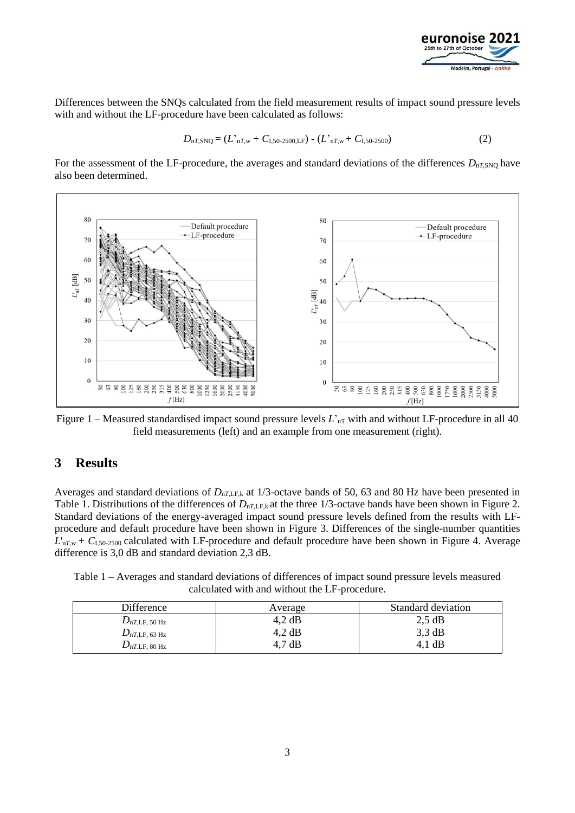

Differences between the SNQs calculated from the field measurement results of impact sound pressure levels with and without the LF-procedure have been calculated as follows:

$$
D_{nT,SNQ} = (L'_{nT,w} + C_{1,50-2500,\text{LF}}) - (L'_{nT,w} + C_{1,50-2500})
$$
\n(2)

For the assessment of the LF-procedure, the averages and standard deviations of the differences  $D_{nT,SNQ}$  have also been determined.



Figure 1 – Measured standardised impact sound pressure levels  $L<sub>nT</sub>$  with and without LF-procedure in all 40 field measurements (left) and an example from one measurement (right).

### **3 Results**

Averages and standard deviations of  $D_{nTLF,k}$  at 1/3-octave bands of 50, 63 and 80 Hz have been presented in Table 1. Distributions of the differences of  $D_{nTLF,k}$  at the three 1/3-octave bands have been shown in Figure 2. Standard deviations of the energy-averaged impact sound pressure levels defined from the results with LFprocedure and default procedure have been shown in Figure 3. Differences of the single-number quantities *L*'n*T*,w + *C*I,50-2500 calculated with LF-procedure and default procedure have been shown in Figure 4. Average difference is 3,0 dB and standard deviation 2,3 dB.

| Table 1 – Averages and standard deviations of differences of impact sound pressure levels measured |  |
|----------------------------------------------------------------------------------------------------|--|
| calculated with and without the LF-procedure.                                                      |  |

| Difference                 | Average | Standard deviation |
|----------------------------|---------|--------------------|
| $D_{\text{nT,LF, 50 Hz}}$  | 4.2 dB  | 2.5 dB             |
| $D_{nT,LF, 63 Hz}$         | 4.2 dB  | $3,3$ dB           |
| $D_{\text{nT,LF}}$ , 80 Hz | 4.7 dB  | dB                 |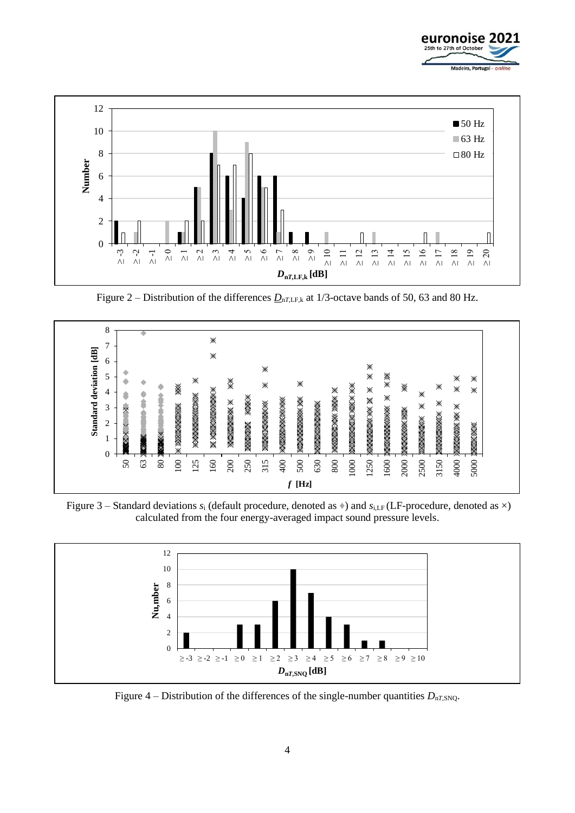



Figure 2 – Distribution of the differences  $D_{nTLF,k}$  at 1/3-octave bands of 50, 63 and 80 Hz.



Figure 3 – Standard deviations  $s_i$  (default procedure, denoted as  $\ast$ ) and  $s_{i,LF}$  (LF-procedure, denoted as  $\times$ ) calculated from the four energy-averaged impact sound pressure levels.



Figure 4 – Distribution of the differences of the single-number quantities  $D_{nT, SNO}$ .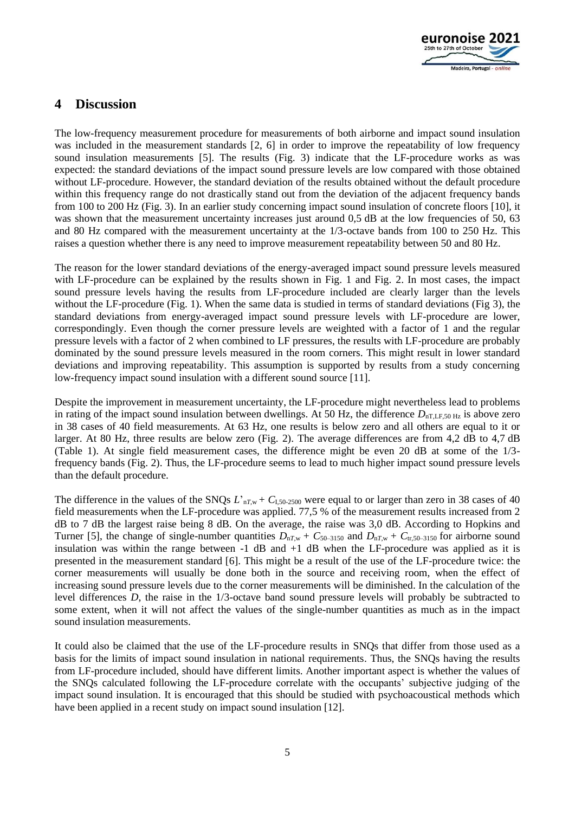

# **4 Discussion**

The low-frequency measurement procedure for measurements of both airborne and impact sound insulation was included in the measurement standards [2, 6] in order to improve the repeatability of low frequency sound insulation measurements [5]. The results (Fig. 3) indicate that the LF-procedure works as was expected: the standard deviations of the impact sound pressure levels are low compared with those obtained without LF-procedure. However, the standard deviation of the results obtained without the default procedure within this frequency range do not drastically stand out from the deviation of the adjacent frequency bands from 100 to 200 Hz (Fig. 3). In an earlier study concerning impact sound insulation of concrete floors [10], it was shown that the measurement uncertainty increases just around 0.5 dB at the low frequencies of 50, 63 and 80 Hz compared with the measurement uncertainty at the 1/3-octave bands from 100 to 250 Hz. This raises a question whether there is any need to improve measurement repeatability between 50 and 80 Hz.

The reason for the lower standard deviations of the energy-averaged impact sound pressure levels measured with LF-procedure can be explained by the results shown in Fig. 1 and Fig. 2. In most cases, the impact sound pressure levels having the results from LF-procedure included are clearly larger than the levels without the LF-procedure (Fig. 1). When the same data is studied in terms of standard deviations (Fig 3), the standard deviations from energy-averaged impact sound pressure levels with LF-procedure are lower, correspondingly. Even though the corner pressure levels are weighted with a factor of 1 and the regular pressure levels with a factor of 2 when combined to LF pressures, the results with LF-procedure are probably dominated by the sound pressure levels measured in the room corners. This might result in lower standard deviations and improving repeatability. This assumption is supported by results from a study concerning low-frequency impact sound insulation with a different sound source [11].

Despite the improvement in measurement uncertainty, the LF-procedure might nevertheless lead to problems in rating of the impact sound insulation between dwellings. At 50 Hz, the difference  $D_{nTLF,50\,Hz}$  is above zero in 38 cases of 40 field measurements. At 63 Hz, one results is below zero and all others are equal to it or larger. At 80 Hz, three results are below zero (Fig. 2). The average differences are from 4,2 dB to 4,7 dB (Table 1). At single field measurement cases, the difference might be even 20 dB at some of the 1/3 frequency bands (Fig. 2). Thus, the LF-procedure seems to lead to much higher impact sound pressure levels than the default procedure.

The difference in the values of the SNQs  $L'_{nT,w}$  +  $C_{1,50-2500}$  were equal to or larger than zero in 38 cases of 40 field measurements when the LF-procedure was applied. 77,5 % of the measurement results increased from 2 dB to 7 dB the largest raise being 8 dB. On the average, the raise was 3,0 dB. According to Hopkins and Turner [5], the change of single-number quantities  $D_{nT,w} + C_{50-3150}$  and  $D_{nT,w} + C_{tr,50-3150}$  for airborne sound insulation was within the range between -1 dB and +1 dB when the LF-procedure was applied as it is presented in the measurement standard [6]. This might be a result of the use of the LF-procedure twice: the corner measurements will usually be done both in the source and receiving room, when the effect of increasing sound pressure levels due to the corner measurements will be diminished. In the calculation of the level differences *D*, the raise in the 1/3-octave band sound pressure levels will probably be subtracted to some extent, when it will not affect the values of the single-number quantities as much as in the impact sound insulation measurements.

It could also be claimed that the use of the LF-procedure results in SNQs that differ from those used as a basis for the limits of impact sound insulation in national requirements. Thus, the SNQs having the results from LF-procedure included, should have different limits. Another important aspect is whether the values of the SNQs calculated following the LF-procedure correlate with the occupants' subjective judging of the impact sound insulation. It is encouraged that this should be studied with psychoacoustical methods which have been applied in a recent study on impact sound insulation [12].